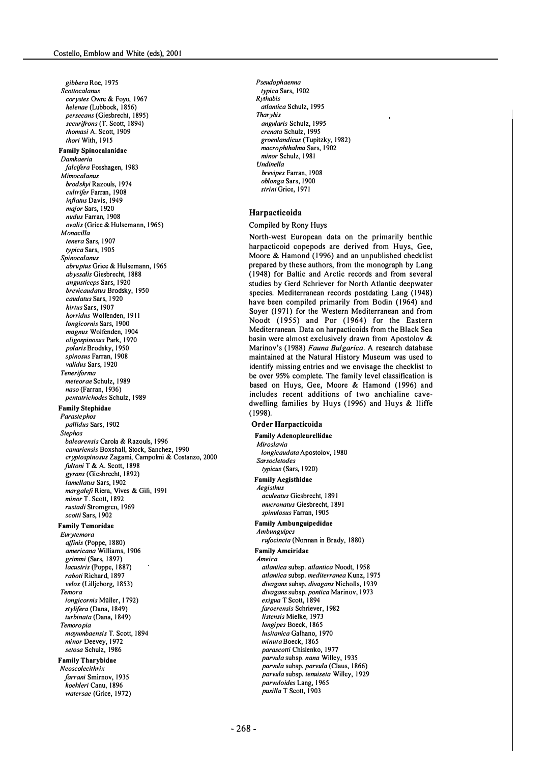gibbera Roe, 1975 Scottocalanus corystes Owre & Foyo, 1967 helenae (Lubbock, 1856) persecans (Giesbrecht, 1895) securifrons (T. Scott, 1894) thomasi A. Scott, 1 909 thori With, 1915 Family SpinocaJanidae Damkaeria falcifera Fosshagen, 1983 Mimocalanus brodskyi Razouls, 1974 cultrifer Farran, 1908 inflatus Davis, 1949 major Sars, 1920 nudus Farran, 1 908 ovalis (Grice & Hulsemann, 1 965) Monacilla tenera Sars, 1907 typica Sars, 1905 Spinocalanus abruptus Grice & Hulsemann, 1965 abyssalis Giesbrecht, 1 888 angusticeps Sars, 1 920 brevicaudatus Brodsky, 1950 caudatus Sars, 1 920 hirtus Sars, 1907 horridus Wolfenden, 191 1 longicornis Sars, 1900 magnus Wolfenden, 1 904 oligospinosus Park, 1970 polaris Brodsky, 1950 spinosus Farran, 1908 validus Sars, 1920 Teneriforma meteorae Schulz, 1989 naso (Farran, 1936) pentatriehodes Schulz, 1 989 Family Stephidae Parastephos pallidus Sars, 1902 Stephos balearensis Carola & Razouls, 1 996 canariensis Boxshall, Stock, Sanchez, 1990 cryptospinosus Zagami, Campolmi & Costanzo, 2000 fultoni T & A. Scott, 1898 gyrans (Giesbrecht, 1892) lamellatus Sars, 1902 margalefi Riera, Vives & Gili, 1991 minor T. Scott, 1 892 rustadi Stromgren, 1 969 scotti Sars, 1902 Family Temoridae Eurytemora affinis (Poppe, 1880) americana Williams, 1 906 grimmi (Sars, 1 897) lacustris (Poppe, 1887) raboti Richard, 1897 velox (Lilljeborg, 1853) Temora /ongicornis MUlier, 1 792) stylifera (Dana, 1849) turbinata (Dana, 1849) Temoropia mayumbaensis T. Scott, 1894 minor Deevey, 1972 setosa Schulz, 1986 Family Tharybidae Neoscolecithrix farrani Smirnov, 1935 koehleri Canu, 1896 watersae (Grice, 1972)

Pseudophaenna typica Sars, 1902 Rythabis atlantica Schulz, 1995 Thar vbis angularis Schulz, 1995 crenata Schulz, 1995 groenlandicus (Tupitzky, 1982) macrophthalma Sars, 1 902 minor Schulz, 1981 Undinella brevipes Farran, 1908 oblonga Sars, 1900 strini Grice, 1971

### Harpacticoida

### Compiled by Rony Huys

North-west European data on the primarily benthic harpacticoid copepods are derived from Huys, Gee, Moore & Hamond (1996) and an unpublished checklist prepared by these authors, from the monograph by Lang (1948) for Baltic and Arctic records and from several studies by Gerd Schriever for North Atlantic deepwater species. Mediterranean records postdating Lang (1948) have been compiled primarily from Bodin (1964) and Soyer (1971) for the Western Mediterranean and from Noodt (1955) and Por (1964) for the Eastern Mediterranean. Data on harpacticoids from the Black Sea basin were almost exclusively drawn from Apostolov & Marinov's (1988) Fauna Bulgarica. A research database maintained at the Natural History Museum was used to identify missing entries and we envisage the checklist to be over 95% complete. The family level classification is based on Huys, Gee, Moore & Hamond (1996) and includes recent additions of two anchialine cavedwelling families by Huys (1996) and Huys & Iliffe ( 1998).

### Order Harpacticoida

Family Adenopleurellidae

Miroslavia longicaudata Apostolov, 1980 Sarsocletodes typicus (Sars, 1920) Family Aegisthidae Aegisthus aeuleatus Giesbrecht, 1 89 1 mucronatus Giesbrecht, 1891 spinulosus Farran, 1905 Family Ambunguipedidae Ambunguipes rufocincta (Norman in Brady, 1880) Family Ameiridae Ameira atlantica subsp. atlantica Noodl, 1 958 atlantica subsp. mediterranea Kunz, 1 975 divagans subsp. divagans Nicholls, 1939 divagans subsp. pontica Marinov, 1973 exigua T Scott, 1894 faroerensis Schriever, 1982 listensis Mielke, 1973 longipes Boeck, 1865 lusitanica Galhano, 1970 minuta Boeck, 1865 parascotti Chislenko, 1977 parvula subsp. nana Willey, 1935 parvula subsp. parvula (Claus, 1866) parvula subsp. tenuiseta Willey, 1929 parvuloides Lang, 1965 pusilla T Scott, 1903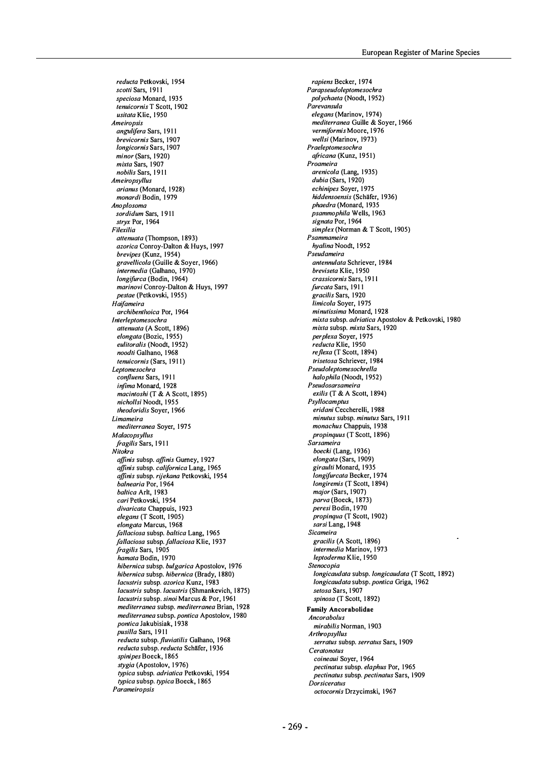reducta Petkovski, 1954 scotti Sars, 1911 speciosa Monard, 1935 tenuicornis T Scott, 1902 usitata Klie, 1950 Ameiropsis angulifera Sars, 1911 brevicornis Sars, 1907 longicornis Sars, 1907 minor (Sars, 1920) mixta Sars, 1907 nobilis Sars, 1911 Ameiropsyllus arianus (Monard, 1928) monardi Bodin, 1979 Anoplosoma sordidum Sars, 1911 stryx Por, 1964 Filexilia attenuata (Thompson, 1893) azorica Conroy-Dalton & Huys, 1997 brevipes (Kunz, 1954) gravellicola (Guille & Soyer, 1966) intermedia (Galhano, 1970) longifurca (Bodin, 1964) marinovi Conroy-Dalton & Huys, 1997 pestae (Petkovski, 1955) Haifameira archibenthoica Por, 1964 Interleplomesochra attenuata (A Scott, 1896) elongata (Bozic, 1955) eulitoralis (Noodt, 1952) noodti Galhano, 1968 tenuicornis (Sars, 1911) Leplomesochra confluens Sars, 1911 infima Monard, 1928 macintoshi (T & A Scott, 1895) nichollsi Noodt, 1955 Iheodoridis Soyer, 1966 Limameira mediterranea Soyer, 1975 Malaconsyllus fragilis Sars, 1911 Nilokra affinis subsp. affinis Gurney, 1927 affinis subsp. californica Lang, 1965 affinis subsp. rijekana Petkovski, 1954 balnearia Por, 1964 baltica Arlt, 1983 cari Petkovski, 1954 divaricata Chappuis, 1923 elegans (T Scott, 1905) elongata Marcus, 1968 fallaciosa subsp. baltica Lang, 1965 fallaciosa subsp. fallaciosa Klie, 1937 fragilis Sars, 1905 hamata Bodin, 1970 hibernica subsp. bulgarica Apostolov, 1976 hibernica subsp. hibernica (Brady, 1880) lacustris subsp. azorica Kunz, 1983 lacustris subsp. lacustris (Shmankevich, 1875) lacustris subsp. sinoi Marcus & Por, 1961 mediterranea subsp. mediterranea Brian, 1928 mediterranea subsp. pontica Apostolov, 1980 pontica Jakubisiak, 1938 pusilla Sars, 1911 reducta subsp. fluviatilis Galhano, 1968 reducta subsp. reducta Schäfer, 1936 spinipes Boeck, 1865 stygia (Apostolov, 1976) typica subsp. adriatica Petkovski, 1954 typica subsp. typica Boeck, 1865 Parameiropsis

rapiens Becker, 1974 Parapseudoleplomesochra polychaeta (Noodt, 1952) Parevansula elegans (Marinov, 1974) mediterranea Guille & Soyer, 1966 vermiformis Moore, 1976 wellsi (Marinov, 1973) Praeleplomesochra africana (Kunz, 1951) Proameira arenicola (Lang, 1935)  $dubia$  (Sars, 1920) echinipes Soyer, 1975 hiddensoensis (Schäfer, 1936) phaedra (Monard, 1935 psammophila Wells, 1963 signata Por, 1964 simplex (Norman & T Scott, 1905) Psammameira hyalina Noodt, 1952 Pseudameira antennulata Schriever, 1984 breviseta Klie, 1950 crassicornis Sars, 1911 furcata Sars, 1911 gracilis Sars, 1 920 limicola Soyer, 1975 minutissima Monard, 1928 mixta subsp. adriatica Apostolov & Petkovski, 1980 mixta subsp. mixta Sars, 1920 perplexa Soyer, 1975 reducta Klie, 1950 re flexa (T Scott, 1894) Iriselosa Schriever, 1 984 Pseudoleplomesochrella halophila (Noodt, 1952) Pseudosarsameira exilis (T & A Scott, 1 894) **Psyllocamptus** eridani Ceccherelli, 1 988 minutus subsp. minutus Sars, 1911 monachus Chappuis, 1938 propinquus (T Scott, 1896) Sarsameira boecki (Lang, 1936) elongata (Sars, 1909) giraulti Monard, 1935 longifurcata Becker, 1974 longiremis (T Scott, 1894) major (Sars, 1907) parva (Boeck, 1873) peresi Bodin, 1 970 propinqua (T Scott, 1902) sarsi Lang, 1948 Sicameira gracilis (A Scott, 1896) intermedia Marinov, 1973 leptoderma Klie, 1950 Slenocopia longicaudata subsp. longicaudata (T Scott, 1892) longicaudata subsp. pontica Griga, 1962 setosa Sars, 1907 spinosa (T Scott, 1892) Family Ancorabolidae **Ancorabolus** mirabilis Norman, 1903 Arlhropsy/lus serratus subsp. serratus Sars, 1909 Ceratonotus coineaui Soyer, 1964 pectinatus subsp. elaphus Por, 1965 pectinatus subsp. pectinatus Sars, 1909 Dorsiceratus octocornis Drzycimski, 1967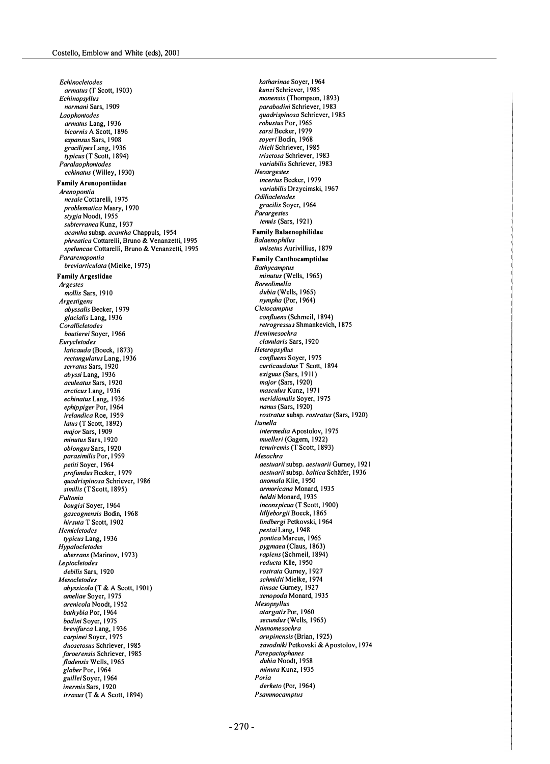Eehinoeletodes armatus (T Scott, 1903) Eehinopsyllus normani Sars, 1909 Laophontodes armatus Lang, 1936 bicornis A Scott, 1896 expansus Sars, 1 908 gracilipes Lang, 1 936 typicus (T Scott, 1894) Paralaophontodes echinatus (Willey, 1930) Family Arenopontiidae Arenopontia nesaie Cottarelli, 1975 problematiea Masry, 1 970 stygia Noodt, 1955 subterranea Kunz, 1937 acantha subsp. acantha Chappuis, 1954 phreatica Cottarelli, Bruno & Venanzetti, 1995 speluncae Cottarelli, Bruno & Venanzetti, 1995 Pararenopontia breviarticulata (Mielke, 1975) Family Argestidae Argestes mollis Sars, 1910 Argestigens abyssalis Becker, 1 979 glacialis Lang, 1936 **Corallicletodes** boutierei Soyer, 1966 Euryeletodes laticauda (Boeck, 1873) rectangulatus Lang, 1936 serratus Sars, 1920 abyssi Lang, 1936 aeuleatus Sars, 1 920 arcticus Lang, 1936 echinatus Lang, 1936 ephippiger Por, 1964 irelandica Roe, 1959 latus (T Scott, 1892) major Sars, 1909 minutus Sars, 1920 ob/ongus Sars, 1 920 parasimilis Por, 1 959 petiti Sover, 1964 profundus Becker, 1979 quadrispinosa Schriever, 1986 similis (T Scott, 1895) Fultonia bougisi Soyer, 1 964 gaseognensis Bodin, 1 968 hirsuta T Scott, 1902 **Hemicletodes** typicus Lang, 1936 Hypaloeletodes aberrans (Marinov, 1973) **Le**ptocletodes debilis Sars, 1920 Mesoeletodes abyssicola (T & A Scott, 1901) ameliae Soyer, 1975 arenieola Noodl, 1 952 bathybia Por, 1 964 bodini Soyer, 1975 brevi/urea Lang, 1 936 carpinei Soyer, 1975 duosetosus Schriever, 1985 faroerensis Schriever, 1985 fladensis Wells, 1965 glaber Por, 1964 guillei Soyer, 1 964 inermis Sars, 1920 irrasus (T & A Scott, 1894)

katharinae Soyer, 1 964 kunzi Schriever, 1985 monensis (Thompson, 1893) parabodini Schriever, 1983 quadrispinosa Schriever, 1 985 robustus Por, 1965 sarsi Becker, 1979 soyeri Bodin, 1968 thieli Schriever, 1985 trisetosa Schriever, 1983 variabilis Schriever, 1983 Neoargestes incertus Becker, 1979 variabilis Drzycimski, 1967 Odiliaeletodes gracilis Soyer, 1964 Parargestes tenuis (Sars, 1921) Family Balaenophilidae **Balaenophilus** unisetus Aurivillius, 1879 **Family Canthocamptidae Bathycamptus** minutus (Wells, 1965) Boreolimella dubia (Wells, 1965) nympha (Por, 1964) **Cletocamptus** confluens (Schmeil, 1894) retrogressus Shmankevich, 1875 Hemimesoehra clavularis Sars, 1920 Heteropsyllus confluens Soyer, 1975 eurtieaudatus T Scott, 1 894 exiguus (Sars, 1911) major (Sars, 1920) masculus Kunz, 1971 meridionalis Soyer, 1975 nanus (Sars, 1920) rostratus subsp. rostratus (Sars, 1920) Itunella intermedia Apostolov, 1975 muelleri (Gagern, 1922) tenuiremis (T Scott, 1893) Mesoehra aestuarii subsp. aestuarii Gurney, 1921 aestuarii subsp. baltica Schäfer, 1936 anomala Klie, 1 950 armoricana Monard, 1935 heldti Monard, 1935 inconspicua (T Scott, 1900) IiIljeborgii Boeck, 1 865 lindbergi Petkovski, 1 964 pestai Lang, 1 948 pontica Marcus, 1965 pygmaea (Claus, 1863) rapiens (Schmeil, 1894) reducta Klie, 1950 rostrata Gurney, 1 927 schmidti Mielke, 1974 timsae Gurney, 1927 xenopoda Monard, 1935 Mesopsyllus atargatis Por, 1960 secundus (Wells, 1965) Nannomesoehra arupinensis (Brian, 1925) zavodniki Petkovski & Apostolov, 1974 **Parepactophanes** dubia Noodt, 1958 minuta Kunz, 1935 Poria derketo (Por, 1964) Psammocamptus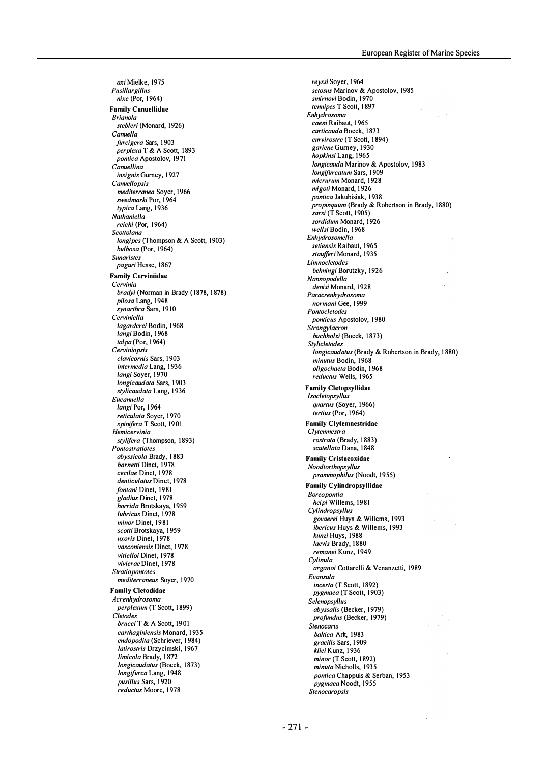axi Mielke, 1975 Pusillargillus nixe (Por, 1964) Family Canuellidae Brianola stebleri (Monard, 1926) Canuella furcigera Sars, 1903 perplexa T & A Scott, 1893 pontica Apostolov, 1971 Canuellina insignis Gurney, 1927 **Canuellopsis** mediterranea Soyer, 1966 swedmarki Por, 1964 typica Lang, 1936 Nathaniella reichi (Por, 1964) Scottolana longipes (Thompson & A Scott, 1903) bulbosa (Por, 1964) Sunaristes paguri Hesse, 1867 Family Cerviniidae Cervinia bradyi (Norman in Brady (1878, 1878) pilosa Lang, 1948 synarthra Sars, 1910 Cerviniella lagarderei Bodin, 1968 langi Bodin, 1968  $talpa$  (Por, 1964) Cerviniopsis clavicornis Sars, 1 903 intermedia Lang, 1936 langi Soyer, 1970 longicaudata Sars, 1903 stylicaudata Lang, 1936 Eucanuella langi Por, 1964 reticulata Soyer, 1970 spinifera T Scott, 1901 Hemicervinia stylifera (Thompson, 1893) **Pontostratiotes** abyssicola Brady, 1 883 barnetti Dinet, 1978 cecilae Dinet, 1978 denticulatus Dinet, 1978 fontani Dinet, 1981 gladius Dinet, 1 978 horrida Brotskaya, 1959 lubricus Dinet, 1978 minor Dinet, 1981 scotti Brotskaya, 1959 uxoris Dinet, 1978 vasconiensis Dinet, 1978 vitielloi Dinet, 1978 vivierae Dinet, 1978 **Stratiopontotes** mediterraneus Soyer, 1970 Family C1etodidae Acrenhydrosoma perplexum (T Scott, 1 899) Cletodes brucei T & A Scott, 1901 carthaginiensis Monard, 1935 endopodita (Schriever, 1984) latirostris Drzycimski, 1967 limicola Brady, 1 872 longicaudatus (Boeck, 1873) longifurca Lang, 1948 pusillus Sars, 1920 reductus Moore, 1 978

reyssi Soyer, 1964 setosus Marinov & Apostolov, 1985 smirnovi Bodin, 1970 tenuipes T Scott, 1 897  $\mathcal{F}^{\mathcal{G}}_{\mathcal{G}}(\mathcal{G})$  and Enhydrosoma caeni Raibaut, 1965 curticauda Boeck, 1873 curvirostre (T Scott, 1 894) gariene Gurney, 1 930 hopkinsi Lang, 1 965 longicauda Marinov & Apostolov, 1983 longifurcatum Sars, 1909 micrurum Monard, 1928 migoti Monard, 1926 pontica Jakubisiak, 1938 propinquum (Brady & Robertson in Brady, 1880) sarsi (T Scott, 1905) sordidum Monard, 1926 wellsi Bodin, 1968 Enhydrosomella setiensis Raibaut, 1965 staufferi Monard, 1935 Limnocletodes behningi Borutzky, 1926 Nannopodella denisi Monard, 1928 Paracrenhydrosoma normani Gee, 1999 Pontocletodes ponticus Apostolov, 1980 **Strongylacron** buchholzi (Boeck, 1873) **Stylicletodes** longieaudatus (Brady & Robertson in Brady, 1 880) minutus Bodin, 1968 oligochaeta Bodin, 1 968 reductus Wells, 1965 Family C1etopsyllidae **lsocletopsyllus** quartus (Soyer, 1966) tertius (Por, 1964) Family C1ytemnestridae Clytemnestra rostrata (Brady, 1 883) scutellata Dana, 1848 Family Cristacoxidae Noodtorthopsyl/us psammophilus (Noodt, 1955) Family Cylindropsyllidae **Boreopontia** in a heipi Willems, 1981 **Cylindropsyllus** .<br>govaerei Huys & Willems, 1993 ibericus Huys & Willems, 1993 kunzi Huys, 1 988 laevis Brady, 1880 remanei Kunz, 1949 Cylinula arganoi Cottarelli & Venanzetti, 1989 Evansula incerta (T Scott, 1892) pygmaea (T Scott, 1903) Selenopsyllus abyssalis (Becker, 1 979) profundus (Becker, 1979) Stenocaris baltica Arlt, 1983 gracilis Sars, 1 909 kliei Kunz, 1936 minor (T Scott, 1892) minuta Nicholls, 1935 pontica Chappuis & Serban, 1953 pygmaea Noodt, 1955 Stenocaropsis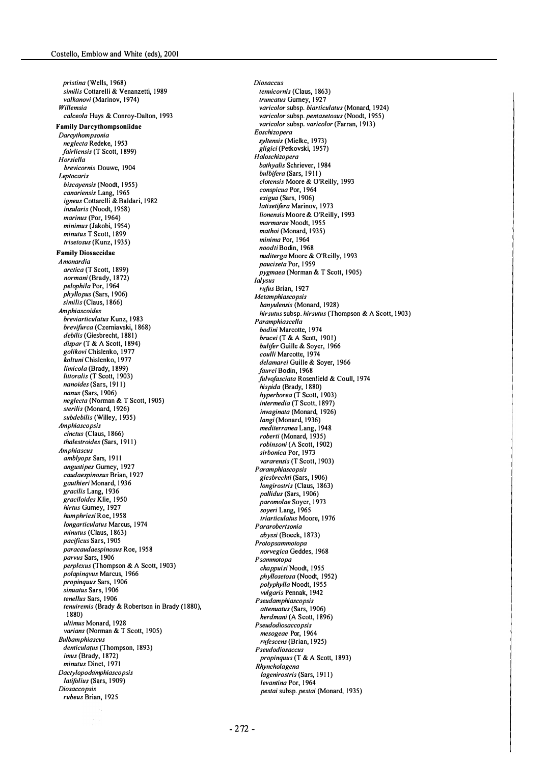pristina (Wells, 1968) similis Cottarelli & Venanzetti, 1989 valkanovi (Marinov, 1974) Willemsia calceola Huys & Conroy-Dalton, 1993 Family Darcythompsoniidae Dareylhompsonia neglecta Redeke, 1953 fairliensis (T Scott, 1899) Horsiella brevicornis Douwe, 1904 **Leptocaris** biscayensis (Noodt, 1955) eanariensis Lang, 1965 igneus Cottarelli & Baldari, 1982 insularis (Noodt, 1958)  $marinus (Por. 1964)$ minimus (Jakobi, 1954) minutus T Scott, 1899 Irisetosus (Kunz, 1935) Family Diosaccidae Amonardia arctica (T Scott, 1899) normani (Brady, 1872) pelophila Por, 1964 phyllopus (Sars, 1906) similis (Claus, 1866) Amphiaseoides breviarticulatus Kunz, 1983 brevifurea (Czerniavski, 1 868) debilis (Giesbrecht, 1881) dispar (T & A Scott, 1894) golikovi Chislenko, 1977 koltuni Chislenko, 1977 limicola (Brady, 1899) littoralis (T Scott, 1903) nanoides (Sars, 1911)  $n$ anus (Sars, 1906) neglecta (Norman & T Scott, 1905) sterilis (Monard, 1926) subdebilis (Willey, 1935) Amphiaseopsis cinctus (Claus, 1866) Ihalestroides (Sars, 191 1) Amphiaseus amblyops Sars, 1911 angustipes Gurney, 1927 caudaespinosus Brian, 1927 gaulhieri Monard, 1 936 gracilis Lang, 1936 graciloides Klie, 1950 hirtus Gurney, 1927 humphriesi Roe, 1958 longarticulatus Marcus, 1974 minutus (Claus, 1863) paeifieus Sars, 1 905 paraeaudaespinosus Roe, 1 958 parvus Sars, 1906 perplexus (Thompson & A Scott, 1903) polapinqvus Marcus, 1 966 propinquus Sars, 1 906 sinuatus Sars, 1906 tenellus Sars, 1906 lenuiremis (Brady & Robertson in Brady ( 1 880), 1 880) ultimus Monard, 1928 varians (Norman & T Scott, 1905) Bulbamphiaseus denticulatus (Thompson, 1893) imus (Brady, 1872) minutus Dinet, 1971 Dactylopodamphiascopsis latifolius (Sars, 1909) **Diosaccopsis** rubeus Brian, 1925

**Diosaccus** tenuicornis (Claus, 1863) truncatus Gurney, 1927 varicolor subsp. biarticulatus (Monard, 1924) varicolor subsp. pentasetosus (Noodt, 1955) varicolor subsp. varicolor (Farran, 1913) Eosehizopera syltensis (Mielke, 1973) gligici (Petkovski, 1957) Halosehizopera bathyalis Schriever, 1984 bulbifera (Sars, 1911) clotensis Moore & O'Reilly, 1993 eonspieua Por, 1 964 exigua (Sars, 1906) latisetifera Marinov, 1973 lionensis Moore & O'Reilly, 1993 marmarae Noodt, 1955 mathoi (Monard, 1935) minima Por, 1964 noodti Bodin, 1968 nuditerga Moore & O'Reilly, 1993 pauciseta Por, 1959 pygmaea (Norman & T Scott, 1 905) Ialysus rufus Brian, 1927 **Metamphiascopsis** banyulensis (Monard, 1928) hirsutus subsp. hirsutus (Thompson & A Scott, 1903) Paramphiaseella bodini Marcotte, 1974 brucei (T & A Scott, 1901) bulifer Guille & Soyer, 1966 coulli Marcotte, 1974 delamarei Guille & Sover, 1966 faurei Bodin, 1968 fulvofasciata Rosenfield & Coull, 1974 hispida (Brady, 1880) hyperborea (T Scott, 1 903) intermedia (T Scott, 1897) invaginata (Monard, 1926) langi (Monard, 1936) mediterranea Lang, 1948 roberti (Monard, 1935) robinsoni (A Scott, 1902) sirbonica Por, 1973 vararensis (T Scott, 1903) Paramphiaseopsis giesbrechti (Sars, 1906) longirostris (Claus, 1863) pallidus (Sars, 1906) paromolae Soyer, 1973 soyeri Lang, 1965 Iriarlieulalus Moore, 1 976 Pararoberlsonia abyssi (Boeck, 1 873) Prolopsammolopa norvegica Geddes, 1968 Psammotopa ehappuisi Noodt, 1 955 phyllosetosa (Noodt, 1952) polyphylla Noodt, 1955 vulgaris Pennak, 1942 Pseudamphiaseopsis attenuatus (Sars, 1906) herdmani (A Scott, 1896) Pseudodiosaecopsis mesogeae Por, 1964 rufescens (Brian, 1925) **Pseudodiosaccus** propinquus (T & A Scott, 1893) Rhyneholagena lagenirostris (Sars, 191 1) levantina Por, 1964 pestai subsp. pestai (Monard, 1935)

 $-2.72 -$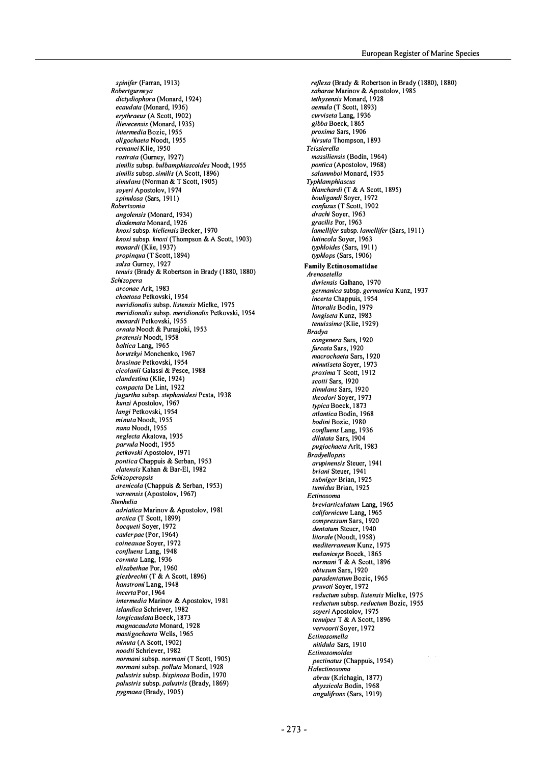spinifer (Farran, 1913) Roberlgumeya dictydiophora (Monard, 1924) ecaudata (Monard, 1936) erylhraeus (A Scott, 1902) ilievecensis (Monard, 1935) intermedia Bozic, 1955 oligochaeta Noodt, 1955 remanei Klie, 1950 rostrata (Gurney, 1927) similis subsp. bulbamphiascoides Noodt, 1955 similis subsp. similis (A Scott, 1896) simulans (Norman & T Scott, 1905) soyeri Apostolov, 1974 spinulosa (Sars, 1911) **Robertsonia** angolensis (Monard, 1934) diademata Monard, 1926 knoxi subsp. kieliensis Becker, 1970 knoxi subsp. knoxi (Thompson & A Scott, 1903) monardi (Klie, 1937) propinqua (T Scott, 1894) salsa Gurney, 1927 tenuis (Brady & Robertson in Brady (1880, 1880) Schizopera arconae Arlt, 1983 chaetosa Petkovski, 1954 meridionalis subsp. listensis Mielke, 1975 meridionalis subsp. meridionalis Petkovski, 1954 monardi Petkovski, 1955 ornata Noodt & Purasjoki, 1953 pratensis Noodt, 1958 baltica Lang, 1965 borutzkyi Monchenko, 1967 brusinae Petkovski, 1954 cicolanii Galassi & Pesce, 1988 clandestina (Klie, 1924) compacta De Lint, 1922 jugurtha subsp. stephanidesi Pesta, 1938 kunzi Apostolov, 1967 langi Petkovski, 1954 minuta Noodt, 1955 nana Noodt, 1955 neglecta Akatova, 1935 parvula Noodt, 1 955 petkovski Apostolov, 1971 pontica Chappuis & Serban, 1953 elalensis Kahan & Bar-EI, 1982 Schizoperopsis arenicola (Chappuis & Serban, 1953) varnensis (Apostolov, 1967) Slenhelia adriatica Marinov & Apostolov, 1981 arctica (T Scott, 1899) bocqueti Soyer, 1972 cauler pae (Por, 1964) coineauae Soyer, 1972 conf/uens Lang, 1948 cornuta Lang, 1936 elisabethae Por, 1960 giesbrechti (T & A Scott, 1896) hanstromi Lang, 1948 incerta Por, 1964 intermedia Marinov & Apostolov, 1981 islandica Schriever, 1982 longicaudata Boeck, 1873 magnacaudata Monard, 1928 mastigochaeta Wells, 1965 minuta (A Scott, 1902) noodti Schriever, 1982 normani subsp. normani (T Scott, 1905) normani subsp. polluta Monard, 1928 palustris subsp. bispinosa Bodin, 1970 palustris subsp. palustris (Brady, 1869) pygmaea (Brady, 1905)

reflexa (Brady & Robertson in Brady (1880), 1880) saharae Marinov & Apostolov, 1985 tethysensis Monard, 1928 aemula (T Scott, 1 893) curviseta Lang, 1936 gibba Boeck, 1 865 proxima Sars, 1 906 hirsuta Thompson, 1893 **Teissierella** massiliensis (Bodin, 1964) pontica (Apostolov, 1968) salammboi Monard, 1935 Typhlamphiascus blanchardi (T & A Scott, 1 895) bouligandi Soyer, 1972 confusus (T Scott, 1902 drachi Soyer, 1963 gracilis Por, 1963 lamellifer subsp. lamellifer (Sars, 1911) Iutincola Soyer, 1963 typhloides (Sars, 191 1) typhlops (Sars, 1906) Family Ectinosomatidae **Arenosetella** duriensis Galhano, 1970 germanica subsp. germanica Kunz, 1937 incerta Chappuis, 1 954 littoralis Bodin, 1979 longiseta Kunz, 1983 tenuissima (Klie, 1929) Bradya congenera Sars, 1 920 furcata Sars, 1920 macrochaeta Sars, 1920 minutiseta Soyer, 1973 proxima T Scott, 1912 scotti Sars, 1920 simulans Sars, 1920 Iheodori Sover, 1973 typica Boeck, 1873 atlantica Bodin, 1968 bodini Bozic, 1980 confluens Lang, 1936 dilatata Sars, 1904 pugiochaeta Arlt, 1983 **Bradyellopsis** arupinensis Steuer, 1 941 briani Steuer, 1941 subniger Brian, 1 925 tumidus Brian, 1925 Eclinosoma breviarticulatum Lang, 1965 californicum Lang, 1965 compressum Sars, 1 920 dentatum Steuer, 1940 litorale (Noodt, 1958) mediterraneum Kunz, 1975 melaniceps Boeck, 1 865 normani T & A Scott, 1896 obtusum Sars, 1920 paradentatum Bozic, 1965 pruvoti Soyer, 1972 reductum subsp. listensis Mielke, 1975 reduclum subsp. reduclum Bozic, 1955 soyeri Apostolov, 1975 tenuipes T & A Scott, 1896 vervoorti Soyer, 1 972 Ectinosomella nitidula Sars, 1910 Ectinosomoides pectinatus (Chappuis, 1954) Halectinosoma abrau (Krichagin, 1877) abyssicola Bodin, 1968 angulifrons (Sars, 1919)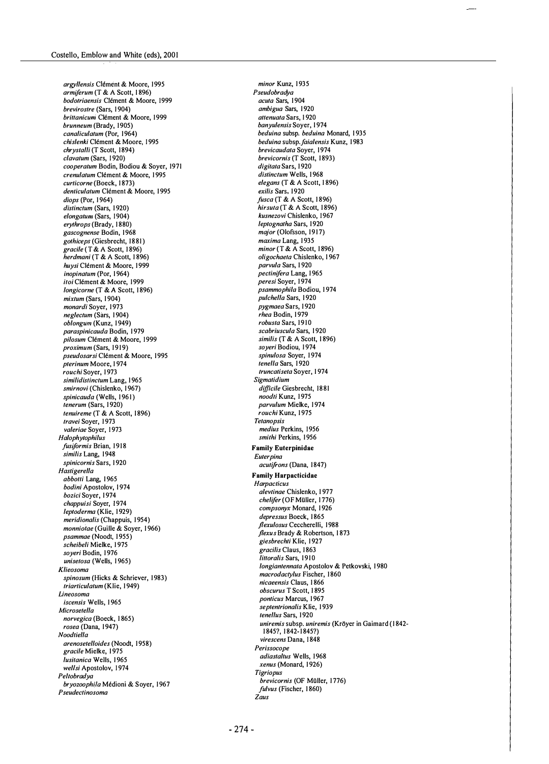argyllensis Clément & Moore, 1995 armiferum (T & A Scott, 1 896) bodotriaensis Clément & Moore, 1999 brevirostre (Sars, 1904) brittanicum Clément & Moore, 1999 brunneum (Brady, 1905) canaliculatum (Por, 1964) chislenki Clément & Moore, 1995 chrystalli (T Scott, 1894) clavatum (Sars, 1920) cooperatum Bodin, Bodiou & Soyer, 1971 crenulatum Clément & Moore, 1995 curticorne (Boeck, 1873) denticulatum Clément & Moore, 1995 diops (Por, 1964) distinctum (Sars, 1920) elongatum (Sars, 1904) erythrops (Brady, 1880) gascognense Bodin, 1968 gothiceps (Giesbrecht, 1881) gracile (T & A Scott, 1 896) herdmani (T & A Scott, 1 896) huysi Clément & Moore, 1999 inopinatum (Por, 1964) itoi Clément & Moore, 1999 longicorne (T & A Scott, 1896) mixtum (Sars, 1904) monardi Soyer, 1973 neglectum (Sars, 1904) oblongum (Kunz, 1949) paraspinicauda Bodin, 1979 pilosum Clément & Moore, 1999 proximum (Sars, 1919) pseudosarsi Clément & Moore, 1995 pterinum Moore, 1974 rouchi Soyer, 1973 similidistinctum Lang, 1965 smirnovi (Chislenko, 1967) spinicauda (Wells, 1961) tenerum (Sars, 1920) tenuireme (T & A Scott, 1896) travei Soyer, 1973 valeriae Soyer, 1973 Halophytophilus fusiformis Brian, 1918 similis Lang, 1948 spinicornis Sars, 1920 Hastigerella abbotti Lang, 1965 bodini Apostolov, 1974 bozici Soyer, 1974 chappuisi Soyer, 1974 leptoderma (Klie, 1929) meridionalis (Chappuis, 1 954) monniotae (Guille & Soyer, 1966) psammae (Noodt, 1955) scheibeli Mielke, 1 975 soyeri Bodin, 1976 unisetosa (Wells, 1965) Klieosoma spinosum (Hicks & Schriever, 1983) triarticulatum (Klie, 1949) Lineosoma iscensis Wells, 1 965 Microsetella norvegica (Boeck, 1 865)  $rosea$  (Dana, 1947) Noodtiella arenosetelloides (Noodt, 1958) gracile Mielke, 1975 lusitanica Wells, 1965 wellsi Apostolov, 1974 Peltobradya bryozoophila Médioni & Soyer, 1967 Pseudeclinosoma

minor Kunz, 1935 Pseudobradya acuta Sars, 1904 ambigua Sars, 1920 attenuata Sars, 1920 banyulensis Soyer, 1974 beduina subsp. beduina Monard, 1935 beduina subsp. faialensis Kunz, 1983 brevicaudata Soyer, 1974 brevicornis (T Scott, 1893) digitata Sars, 1920 distinctum Wells, 1968 elegans (T & A Scott, 1896) exilis Sars, 1920 fusca (T & A Scott, 1896) hirsuta (T & A Scott, 1896) kusnezovi Chislenko, 1967 leptognatha Sars, 1920 major (Olofsson, 1917) maxima Lang, 1935 minor (T & A Scott, 1896) oligochaeta Chislenko, 1967 parvula Sars, 1 920 pectinifera Lang, 1965 .<br>peresi Soyer, 1974 psammophila Bodiou, 1 974 pulchella Sars, 1920 pygmaea Sars, 1 920 rhea Bodin, 1979 robusta Sars, 1910 scabriuscula Sars, 1920 similis (T & A Scott, 1896) soyeri Bodiou, 1974 spinulosa Soyer, 1974 tenella Sars, 1920 truncatiseta Soyer, 1974 Sigmatidium difficile Giesbrecht, 1881 noodti Kunz, 1975 parvulum Mielke, 1974 rouchi Kunz, 1975 **Tetanopsis** medius Perkins, 1956 smithi Perkins, 1956 Family Euterpinidae **Euterpina** acutifrons (Dana, 1847) Family Harpacticidae **Harpacticus** alevtinae Chislenko, 1 977 chelifer (OF Müller, 1776) compsonyx Monard, 1926 depressus Boeck, 1865 flexulosus Ceccherelli, 1988 flexus Brady & Robertson, 1873 giesbrechti Klie, 1927 gracilis Claus, 1 863 Iittoralis Sars, 1910 longiantennata Apostolov & Petkovski, 1980 macrodactylus Fischer, 1860 nicaeensis Claus, 1 866 obscurus T Scott, 1 895 ponticus Marcus, 1967 septentrionalis Klie, 1939 tenellus Sars, 1920 uniremis subsp. uniremis (Kröyer in Gaimard (1842-1 845?, 1 842- 1 845?) virescens Dana, 1 848 Perissocope adiastaltus Wells, 1968 xenus (Monard, 1926) Tigriopus brevicornis (OF Müller, 1776) fulvus (Fischer, 1860) Zaus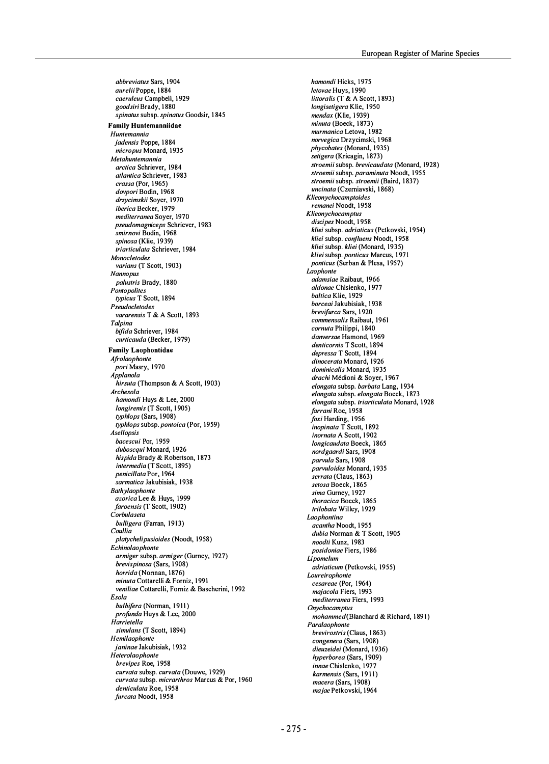abbreviatus Sars, 1 904 aurelii Poppe, 1884 caeruleus Campbell, 1 929 goodsiri Brady, 1 880 spinatus subsp. spinatus Goodsir, 1 845 Family Huntemanniidae Huntemannia jadensis Poppe, 1884 micropus Monard, 1935 Metahuntemannia arctica Schriever, 1984 atlantica Schriever, 1983 crassa (Por, 1965) dovpori Bodin, 1968 drzycimskii Soyer, 1970 iberica Becker, 1979 mediterranea Soyer, 1970 pseudomagniceps Schriever, 1 983 smirnovi Bodin, 1968 spinosa (Klie, 1939) Iriarticulata Schriever, 1984 **Monocletodes** varians (T Scott, 1903) Nannopus palustris Brady, 1880 *Pontopolites* typicus T Scott, 1894 Pseudoclelodes vararensis T & A Scott, 1893 Talpina bifida Schriever, 1984 curticauda (Becker, 1979) Family Laophontidae Afrolaophonte pori Masry, 1970 Applanola hirsula (Thompson & A Scott, 1903) Archesola hamondi Huys & Lee, 2000 longiremis (T Scott, 1 905) typhlops (Sars, 1908) typhlops subsp. pontoica (Por, 1959) Asellopsis bacescui Por, 1959 duboscqui Monard, 1926 hispida Brady & Robertson, 1873 intermedia (T Scott, 1895) penicillata Por, 1964 .<br>sarmatica Jakubisiak, 1938 **Bathylaophonte** azorica Lee & Huys, 1999 faroensis (T Scott, 1902) Corbulaseta bulligera (Farran, 1913) Coullia platychelipusioides (Noodt, 1958) Echinolaophonle armiger subsp. armiger (Gurney, 1927) brevispinosa (Sars, 1 908) horrida (Nonnan, 1876) minuta Cottarelli & Forniz, 1991 veniliae Cottarelli, Forniz & Bascherini, 1992 Esola bulbi/era (Norman, 1911) profunda Huys & Lee, 2000 Harrietella simulans (T Scott, 1894) **Hemilaophonte** ianinae Jakubisiak, 1932 Heterolaophonle brevipes Roe, 1958 curvata subsp. curvata (Douwe, 1929) curvala subsp. micrarthros Marcus & Por, 1960 denticulata Roe, 1958 furcata Noodt, 1958

hamondi Hicks, 1975 letovae Huys, 1990 littoralis (T & A Scott, 1893) longisetigera Klie, 1950 mendax (Klie, 1939) minuta (Boeck, 1873) murmanica Letova, 1982 norvegica Drzycimski, 1 968 phycobates (Monard, 1935) .<br>setigera (Kricagin, 1873) slroemii subsp. brevicaudata (Monard, 1928) stroemii subsp. paraminuta Noodt, 1955 stroemii subsp. stroemii (Baird, 1 837) uncinata (Czerniavski, 1868) Klieonychocamptoides remanei Noodt, 1958 Klieonychocamplus discipes Noodt, 1958 kliei subsp. adriaticus (Petkovski, 1954) kliei subsp. confluens Noodt, 1958 kliei subsp. kliei (Monard, 1935) kliei subsp. ponticus Marcus, 1971 ponticus (Serban & Plesa, 1957) Laophonte adamsiae Raibaut, 1966 aldonae Chislenko, 1 977 baltica Klie, 1929 borceai Jakubisiak, 1938 brevifurca Sars, 1920 commensalis Raibaut, 1961 cornuta Philippi, 1840 danversae Hamond, 1969 denticornis T Scott, 1894 depressa T Scott, 1894 dinocerata Monard, 1926 dominicalis Monard, 1935 drachi Médioni & Soyer, 1967 elongata subsp. barbata Lang, 1934 elongata subsp. elongata Boeck, 1873 elongata subsp. triarticulata Monard, 1928 farrani Roe, 1958 foxi Harding, 1956 inopinata T Scott, 1 892 inornata A Scott, 1902 longicaudata Boeck, 1865 nordgaardi Sars, 1908 parvula Sars, 1908 parvuloides Monard, 1 935 serrata (Claus, 1863) setosa Boeck, 1865 sima Gurney, 1927 Ihoracica Boeck, 1 865 Irilobata Willey, 1929 Laophontina acantha Noodt, 1955 dubia Norman & T Scott, 1905 noodti Kunz, 1983 posidoniae Fiers, 1 986 Lipomelum .<br>adriaticum (Petkovski, 1955) **Loureirophonte** cesareae (Por, 1964) majacola Fiers, 1993 medilerranea Fiers, 1993 **Onvchocamptus** mohammed(Blanchard & Richard, 1891) **Paralaophonte** brevirostris (Claus, 1863) congenera (Sars, 1908) dieuzeidei (Monard, 1936) hyperborea (Sars, 1909) innae Chislenko, 1977 karmensis (Sars, 1911) macera (Sars, 1908) ma jae Petkovski, 1964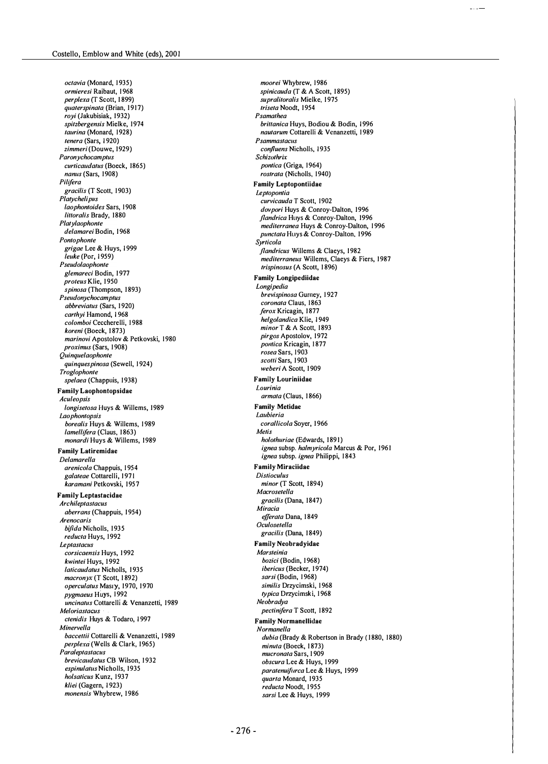octavia (Monard, 1935) ormieresi Raibaut, 1 968 perplexa (T Scott, 1899) quaterspinata (Brian, 1917) royi (Jakubisiak, 1932) spitzbergensis Mielke, 1974 Iaurina (Monard, 1928) /enera (Sars, 1 920) zimmeri (Douwe, 1929) Paronychocamptus curticaudatus (Boeck, 1865) nanus (Sars, 1908) Pili/era gracilis (T Scott, 1903) Platychelipus laophontoides Sars, 1908 littoralis Brady, 1880 Platylaophonte delamarei Bodin, 1968 Pon/ophon/e grigae Lee & Huys, 1999 leuke (Por, 1959) Pseudolaophonte glemareci Bodin, 1977 proteus Klie, 1950 spinosa (Thompson, 1893) Pseudonychocamptus abbreviatus (Sars, 1920) carthyi Hamond, 1968 colomboi Ceccherelli, 1988 koreni (Boeck, 1873) marinovi Apostolov & Petkovski, 1980 proximus (Sars, 1908) Quinquelaophonte quinques pinosa (Sewell, 1924) Troglophonte spelaea (Chappuis, 1938) Family Laophontopsidae Aculeopsis longisetosa Huys & Willems, 1989 Laophontopsis borealis Huys & Willems, 1989 lamellifera (Claus, 1863) monardi Huys & Willems, 1989 Family Latiremidae Delamarella arenicola Chappuis, 1 954 galateae Cottarelli, 1971 karamani Petkovski, 1957 Family Leptastacidae **Archileptastacus** aberrans (Chappuis, 1954) Arenocaris bifida Nicholls, 1935 reducta Huys, 1992 Leptastacus corsicaensis Huys, 1992 kwintei Huys, 1992 laticaudatus Nicholls, 1935 macronyx (T Scott, 1892) operculatus Masiy, 1970, 1970 pygmaeus Huys, 1992 uncinatus Cottarelli & Venanzetti, 1989 Meloriastacus ctenidis Huys & Todaro, 1997 Minervella baccettii Cottarelli & Venanzetti, 1989 perplexa (Wells & Clark, 1965) Paraleptastacus brevicaudatus CB Wilson, 1932 espinulatus Nicholls, 1935 holsaticus Kunz, 1937 kliei (Gagern, 1923) monensis Whybrew, 1986

moorei Whybrew, 1986 spinicauda (T & A Scott, 1895) supralitoralis Mielke, 1975 triseta Noodt, 1954 Psamathea brittanica Huys, Bodiou & Bodin, 1996 nautarum Cottarelli & Venanzetti, 1989 Psammastacus confluens Nicholls, 1935 **Schizothrix** pontica (Griga, 1964) rostrata (Nicholls, 1940) Family Leptopontiidae **Leptopontia** curvicauda T Scott, 1902 dovpori Huys & Conroy-Dalton, 1996 flandrica Huys & Conroy-Dalton, 1996 mediterranea Huys & Conroy-Dalton, 1996 punctata Huys & Conroy-Dalton, 1996 Syr/icola flandricus Willems & Claeys, 1982 mediterraneus Willems, Claeys & Fiers, 1987 /rispinosus (A Scott, 1 896) Family Longipediidae Longipedia brevispinosa Gurney, 1927 coronata Claus, 1863 ferox Kricagin, 1877 helgolandica Klie, 1949 minor T & A Scott, 1893 pirgos Apostolov, 1972 pontica Kricagin, 1877 rosea Sars, 1903 scotti Sars, 1903 weberi A Scott, 1909 Family Louriniidae Lourinia armata (Claus, 1866) Family Metidae Laubieria corallicola Soyer, 1966 Metis holothuriae (Edwards, 1891) ignea subsp. halmyricola Marcus & Por, 1961 ignea subsp. ignea Philippi, 1843 Family Miraciidae **Distinculus** minor (T Scott, 1894) Macrosetella gracilis (Dana, 1847) Miracia efferata Dana, 1849 Oculosetella gracilis (Dana, 1849) Family Neohradyidae Marsteinia bozici (Bodin, 1968) ibericus (Becker, 1974) sarsi (Bodin, 1968) similis Drzycimski, 1 968 typica Drzycimski, 1968 Neobradya pectinifera T Scott, 1892 Family Normanellidae Normanella dubia (Brady & Robertson in Brady (1880, 1880) minuta (Boeck, 1873) mucronata Sars, 1909 obscura Lee & Huys, 1999 paratenuifurca Lee & Huys, 1999 quarta Monard, 1935 reducta Noodt, 1955 sarsi Lee & Huys, 1999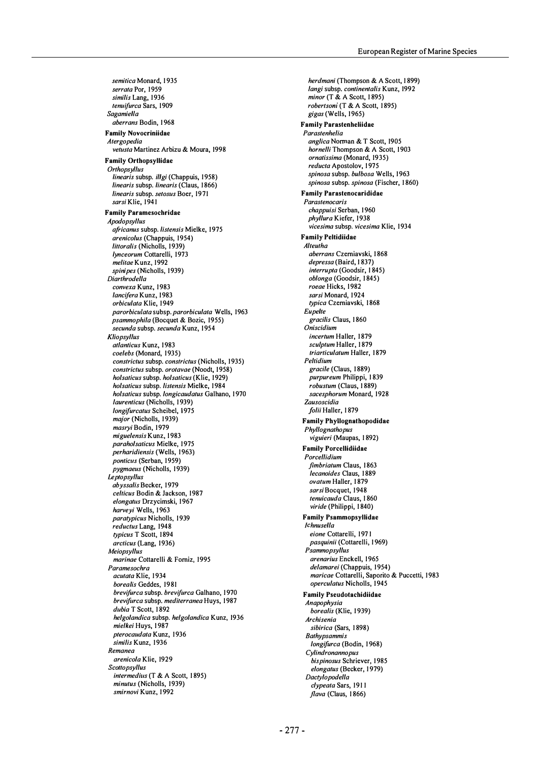semitica Monard, 1935 serrata Por, 1959 similis Lang, 1936 tenuifurca Sars, 1909 Sagamiella aberrans Bodin, 1968 Family Novocriniidae Alergopedia vetusta Martinez Arbizu & Moura, 1998 Family Orthopsyllidae **Orthopsyllus** linearis subsp. illgi (Chappuis, 1958) linearis subsp. linearis (Claus, 1866) linearis subsp. setosus Boer, 1971 sarsi Klie, 1941 Family Paramesochridae Apodopsyllus africanus subsp. listensis Mielke, 1975 arenicolus (Chappuis, 1954) littoralis (Nicholls, 1939) Iynceorum Coltarelli, 1973 melitae Kunz, 1992 spinipes (Nicholls, 1939) Diarthrodella convexa Kunz, 1983 lancifera Kunz, 1983 orbiculata Klie, 1949 parorbiculata subsp. parorbiculata Wells, 1963 psammophila (Bocquet & Bozic, 1955) secunda subsp. secunda Kunz, 1954 Kliopsyllus atlanticus Kunz, 1983 coelebs (Monard, 1935) constrictus subsp. constrictus (Nicholls, 1935) constrictus subsp. orotavae (Noodt, 1958) holsaticus subsp. holsaticus (Klie, 1929) holsaticus subsp. listensis Mielke, 1984 holsaticus subsp. longicaudatus Galhano, 1970 laurenticus (Nicholls, 1939) longifurcatus Scheibel, 1975 major (Nicholls, 1939) masryi Bodin, 1979 miguelensis Kunz, 1983 paraholsaticus Mielke, 1975 .<br>*perharidiensis* (Wells, 1963) ponticus (Serban, 1959) pygmaeus (Nicholls, 1939) **Leptopsyllus** abyssalis Becker, 1979 celticus Bodin & Jackson, 1987 elongatus Drzycimski, 1967 harveyi Wells, 1963 paratypicus Nicholls, 1939 reductus Lang, 1948 typicus T Scott, 1894 arcticus (Lang, 1936) Meiopsyllus marinae Cottarelli & Fomiz, 1995 Paramesochra acutata Klie, 1934 borealis Geddes, 1981 brevifurca subsp. brevifurca Galhano, 1970 brevifurca subsp. mediterranea Huys, 1987 dubia T Scott, 1892 helgolandica subsp. helgolandica Kunz, 1936 mielkei Huys, 1987 pterocaudata Kunz, 1936 similis Kunz, 1936 Remanea arenicola Klie, 1929 **Scottopsyllus** intermedius (T & A Scott, 1895) minutus (Nicholls, 1939) smirnovi Kunz, 1 992

herdmani (Thompson & A Scott, 1 899) langi subsp. continentalis Kunz, 1992 minor (T & A Scott, 1 895) robertsoni (T & A Scott, 1895) gigas (Wells, 1965) Family Parastenheliidae Paraslenhelia anglica Norman & T Scott, 1905 hornelli Thompson & A Scott, 1903 ornatissima (Monard, 1935) reducta Apostolov, 1975 spinosa subsp. bulbosa Wells, 1963 spinosa subsp. spinosa (Fischer, 1860) Family Parastenocarididae Paraslenocaris chappuisi Serban, 1960 phyllura Kiefer, 1938 vicesima subsp. vicesima Klie, 1934 Family Peltidiidae Alleulha aberrans Czemiavski, 1 868 depressa (Baird, 1837) interrupta (Goodsir, 1845) oblonga (Goodsir, 1 845) roeae Hicks, 1982 sarsi Monard, 1924 typica Czerniavski, 1868 Eupelte gracilis Claus, 1 860 Oniscidium incertum Haller, 1879 sculptum Haller, 1879 Iriarticulatum Haller, 1879 Pellidium gracile (Claus, 1889) purpureum Philippi, 1 839 robustum (Claus, 1889) sacesphorum Monard, 1928 Zausoscidia folii Haller, 1879 Family PhyJlognathopodidae Phyllognathopus viguieri (Maupas, 1 892) Family Porcellidiidae Porcellidium fimbriatum Claus, 1863 lecanoides Claus, 1889 ovatum Haller, 1879 sarsi Bocquet, 1948 lenuicauda Claus, 1 860 vir ide (Philippi, 1 840) Family Psammopsyllidae **Ichnusella** eione Cottarelli, 1971 pasquinii (Cottarelli, 1 969) Psammopsyllus arenarius Enckell, 1 965 delamarei (Chappuis, 1954) maricae Cottarelli, Saporito & Puccetti, 1983 operculatus Nicholls, 1945 Family Pseudotachidiidae Anapophysia borealis (Klie, 1939) Archisenia sibirica (Sars, 1898) **Bathypsammis** longifurca (Bodin, 1968) Cylindronannopus bispinosus Schriever, 1985 elongatus (Becker, 1979) Dactylopodella clypeata Sars, 1911 flava (Claus, 1866)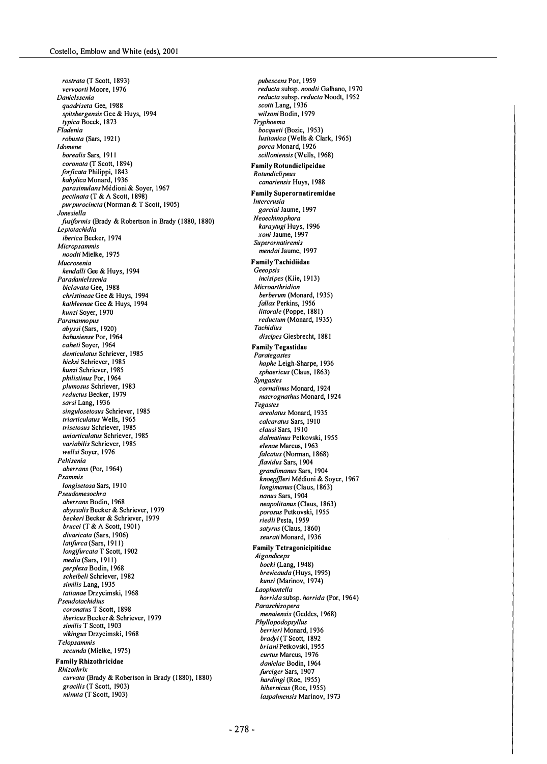rostrata (T Scott, 1893) vervoorti Moore, 1976 **Danielssenia** quadrisela Gee, 1988 spitsbergensis Gee & Huys, 1994 typica Boeck, 1873 F/adenia robusta (Sars, 1921) Idomene borealis Sars, 1911 coronata (T Scott, 1894) forficata Philippi, 1843 kabylica Monard, 1936 parasimulans Médioni & Soyer, 1967 pectinata (T & A Scott, 1898) pur purocincta (Norman & T Scott, 1905) Jonesiella fusiformis (Brady & Robertson in Brady (1880, 1880) **Leptotachidia** iberica Becker, 1974 Micropsammis noodti Mielke, 1975 Mucrosenia kendalli Gee & Huys, 1994 Paradanielssenia biclavata Gee, 1988 christineae Gee & Huys, 1994 kathleenae Gee & Huys, 1994 kunzi Sover, 1970 Paranannopus abyssi (Sars, 1920) bahusiense Por, 1964 caheti Soyer, 1964 denticulatus Schriever, 1985 hicksi Schriever, 1985 kunzi Schriever, 1985 philistinus Por, 1964 plumosus Schriever, 1983 reductus Becker, 1979 sarsi Lang, 1936 singulosetosus Schriever, 1985 triarticulatus Wells, 1965 Iriselosus Schriever, 1985 uniarticulatus Schriever, 1985 variabilis Schriever, 1985 wellsi Soyer, 1976 Peltisenia aberrans (Por, 1964) Psammis /ongiselosa Sars, 1910 Pseudomesochra aberrans Bodin, 1 968 abyssalis Becker & Schriever, 1 979 beckeri Becker & Schriever, 1979 brucei (T & A Scott, 1901) divaricata (Sars, 1906) latifurca (Sars, 1911) longifurcata T Scott, 1902 media (Sars, 1911) perplexa Bodin, 1968 scheibeli Schriever, 1 982 similis Lang, 1935 tatianae Drzycimski, 1968 Pseudolachidius coronatus T Scott, 1898 ibericus Becker & Schriever, 1979 similis T Scott, 1903 vikingus Drzycimski, 1968 **Telopsammis** secunda (Mielke, 1975) Family Rhizothricidae Rhizolhrix curvata (Brady & Robertson in Brady (1880), 1880) gracilis (T Scott, 1903) minuta (T Scott, 1903)

pubescens Por, 1959 reducla subsp. noodti Galhano, 1 970 reducta subsp. reducta Noodt, 1 952 scotti Lang, 1936 wilsoni Bodin, 1979 Tryphoema bocqueti (Bozic, 1953) Iusitanica (Wells & Clark, 1965) porca Monard, 1926 scilloniensis (Wells, 1968) Family Rotundiclipeidae Rotundiclipeus canariensis Huys, 1988 Family Superornatiremidae **Intercrusia** garciai Jaume, 1997 Neoechinophora karaytugi Huys, 1996 xoni Jaume, 1997 **Superornatiremis** mendai Jaume, 1997 Family Tachidiidae Geeopsis incisipes (Klie, 1913) Microarlhridion berberum (Monard, 1935) fallax Perkins, 1956 littorale (Poppe, 1881) reductum (Monard, 1935) **Tachidius** discipes Giesbrecht, 1881 Family Tegastidae Paralegastes haphe Leigh·Sharpe, 1 936 sphaericus (Claus, 1863) **Syngastes** cornalinus Monard, 1924 macrognathus Monard, 1924 **Tegastes** areo/atus Monard, 1 935 calcaratus Sars, 1910 clausi Sars, 1910 dalmatinus Petkovski, 1955 elenae Marcus, 1963 falcatus (Norman, 1868) flavidus Sars, 1904 grandimanus Sars, 1904 knoepffleri Médioni & Soyer, 1967 longimanus (Claus, 1863) nanus Sars, 1904 neapolitanus (Claus, 1863) porosus Petkovski, 1955 *riedli* Pesta, 1959 satyrus (Claus, 1860) seurati Monard, 1936 Family Tetragonicipitidae Aigondiceps bocki (Lang, 1948) brevicauda (Huys, 1995) kunzi (Marinov, 1974) **Laophontella** horrida subsp. horrida (Por, 1964) Paraschizopera menaiensis (Geddes, 1968) Phyllopodopsyllus berrieri Monard, 1 936 bradyi (T Scott, 1892 briani Petkovski, 1955 curtus Marcus, 1976 danielae Bodin, 1964 furciger Sars, 1907 hardingi (Roe, 1955) hibernicus (Roe, 1955)

laspalmensis Marinov, 1973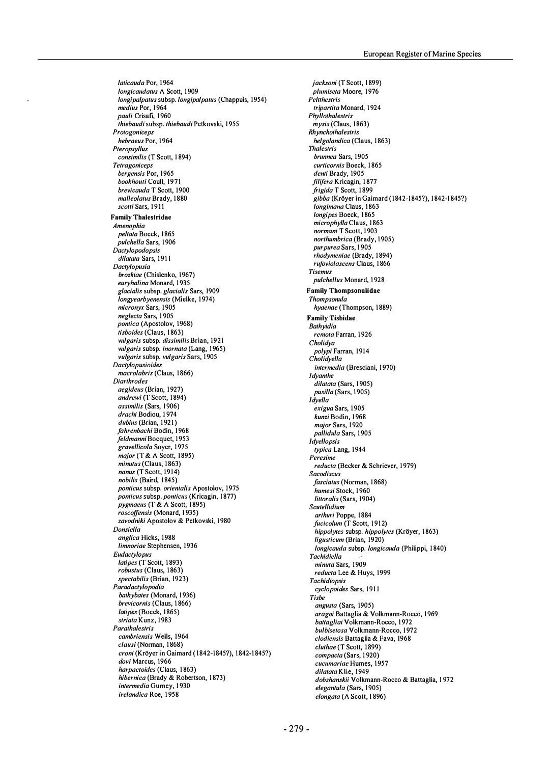laticauda Por, 1964 longicaudatus A Scott, 1909 longipalpatus subsp. longipalpatus (Chappuis, 1954) medius Por, 1964 pauli Crisafi, 1960 thiebaudi subsp. thiebaudi Petkovski, 1 955 **Protogoniceps** hebraeus Por, 1964 Pteropsyllus consimilis (T Scott, 1 894) **Tetragoniceps** bergensis Par, 1965 bookhouti Coull, 1971 brevicauda T Scott, 1900 malleolatus Brady, 1880 scotti Sars, 1911 Family Thalestridae Amenophia peltata Boeck, 1865 pulchella Sars, 1 906 Dactylopodopsis dilatata Sars, 191 1 Dactylopusia brozkiae (Chislenko, 1967) euryhalina Monard, 1935 glacialis subsp. glacialis Sars, 1909 longyearbyenensis (Mielke, 1974) micronyx Sars, 1905 neglecta Sars, 1 905 pontica (Apostolov, 1968) tisboides (Claus, 1 863) vulgaris subsp. dissimilis Brian, 1921 vulgaris subsp. inornata (Lang, 1965) vulgaris subsp. vulgaris Sars, 1905 Dactylopusioides macrolabris (Claus, 1866) **Diarthrodes** aegideus (Brian, 1927) andrewi (T Scott, 1894) assimilis (Sars, 1906) drachi Bodiou, 1 974 dubius (Brian, 1921) fahrenbachi Bodin, 1968 feldmanni Bocquet, 1953 gravellicola Soyer, 1975 major (T & A Scott, 1895) minutus (Claus, 1863) nanus (T Scott, 1914) nobilis (Baird, 1845) ponticus subsp. orientalis Apostolov, 1975 ponticus subsp. ponticus (Kricagin, 1877) pygmaeus (T & A Scott, 1895) roscoffensis (Manard, 1 935) zavodniki Apostolov & Petkovski, 1980 Donsiella anglica Hicks, 1988 limnoriae Stephensen, 1936 Eudactylopus latipes (T Scott, 1893) robustus (Claus, 1863) spectabilis (Brian, 1923) Paradactylopodia bathybates (Monard, 1936) brevicornis (Claus, 1 866) latipes (Boeck, 1865) striata Kunz, 1983 Parathalestris cambriensis Wells, 1964 clausi (Norman, 1868) croni (Kröyer in Gaimard (1842-1845?), 1842-1845?) dovi Marcus, 1966 harpactoides (Claus, 1863) hibernica (Brady & Robertson, 1873) intermedia Gurney, 1 930 irelandica Roe, 1958

jacksoni (T Scott, 1899) plumiseta Moore, 1976 Peltthestris tripartita Monard, 1924 Phyllothalestris mysis (Claus, 1863) Rhynchothalestris helgolandica (Claus, 1863) **Thalestris** brunnea Sars, 1905 curticornis Boeck, 1865 denti Brady, 1905 filifera Kricagin, 1877 frigida T Scott, 1 899 gibba (Kröyer in Gaimard (1842-1845?), 1842-1845?) longimana Claus, 1863 longipes Boeck, 1865 microphylla Claus, 1863 normani T Scott, 1903 northumbrica (Brady, 1905) purpurea Sars, 1 905 rhodymeniae (Brady, 1 894) rufoviolascens Claus, 1 866 Tisemus pulchellus Monard, 1928 Family Thompsonulidae Thompsonula hyaenae (Thompson, 1889) Family Tisbidae Bathyidia remota Farran, 1 926 Cholidya polypi Farran, 1914 Cholidyella intermedia (Bresciani, 1970) **I**dyanthe dilatata (Sars, 1905) pusilla (Sars, 1905) ldyella exigua Sars, 1905 kunzi Bodin, 1968 major Sars, 1920 pallidula Sars, 1905 **ldyellopsis** typica Lang, 1944 Peresime reducta (Becker & Schriever, 1979) Sacodiscus fasciatus (Norman, 1868) humesi Stock, 1 960 littoralis (Sars, 1904) Scutellidium arthuri Poppe, 1884 fucicolum (T Scott, 1912) hippolytes subsp. hippolytes (Kröyer, 1863) ligusticum (Brian, 1920) longicauda subsp. longicauda (Philippi, 1840) **Tachidiella** minuta Sars, 1909 reducta Lee & Huys, 1999 **Tachidionsis** cyclopoides Sars, 191 1 Tisbe angusta (Sars, 1905) aragoi Battaglia & Volkmann-Rocco, 1969 battagliai Volkmann-Rocco, 1972 bulbisetosa Volkmann-Rocco, 1 972 clodiensis Battaglia & Fava, 1968 cluthae (T Scott, 1899) compacta (Sars, 1 920) cucumariae Humes, 1957 dilatata Klie, 1949 dobzhanskii Volkmann-Rocco & Battaglia, 1 972 elegantula (Sars, 1905) elongata (A Scott, 1 896)